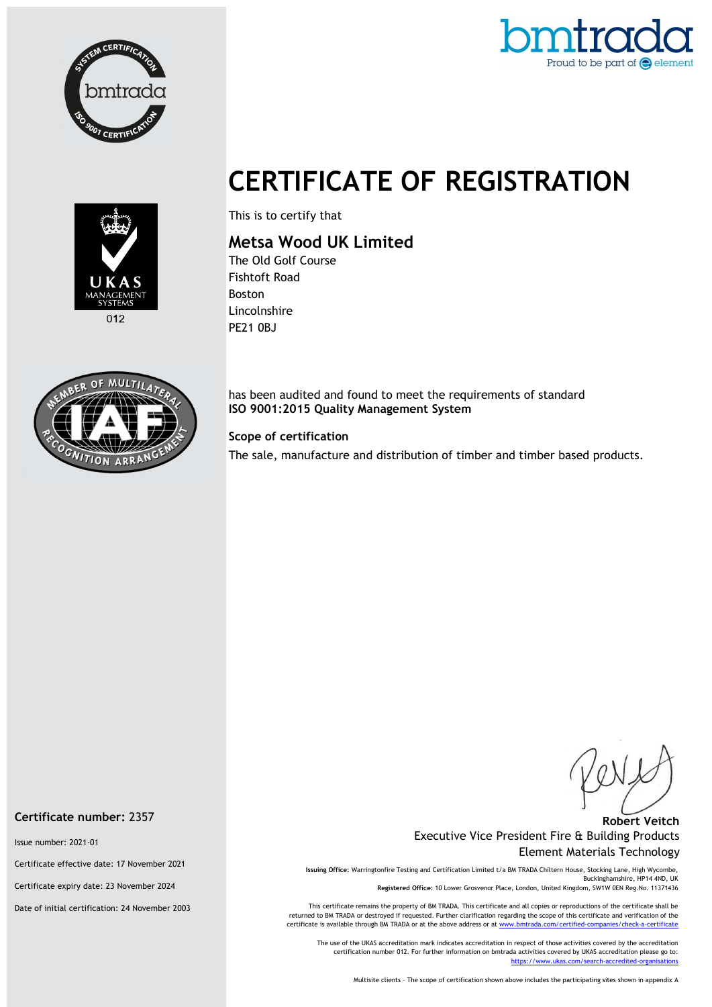



# CERTIFICATE OF REGISTRATION



This is to certify that

## Metsa Wood UK Limited

The Old Golf Course Fishtoft Road Boston Lincolnshire PE21 0BJ



has been audited and found to meet the requirements of standard ISO 9001:2015 Quality Management System

#### Scope of certification

The sale, manufacture and distribution of timber and timber based products.

#### Robert Veitch Executive Vice President Fire & Building Products Element Materials Technology

Issuing Office: Warringtonfire Testing and Certification Limited t/a BM TRADA Chiltern House, Stocking Lane, High Wycombe, Buckinghamshire, HP14 4ND, UK Registered Office: 10 Lower Grosvenor Place, London, United Kingdom, SW1W 0EN Reg.No. 11371436

This certificate remains the property of BM TRADA. This certificate and all copies or reproductions of the certificate shall be returned to BM TRADA or destroyed if requested. Further clarification regarding the scope of this certificate and verification of the certificate is available through BM TRADA or at the above address or at www.bmtrada.com/certified-companies/check-a-certificate

The use of the UKAS accreditation mark indicates accreditation in respect of those activities covered by the accreditation certification number 012. For further information on bmtrada activities covered by UKAS accreditation please go to: https://www.ukas.com/search-accredited-organisations

Multisite clients – The scope of certification shown above includes the participating sites shown in appendix A

Certificate number: 2357

Issue number: 2021-01

Certificate effective date: 17 November 2021

Certificate expiry date: 23 November 2024

Date of initial certification: 24 November 2003